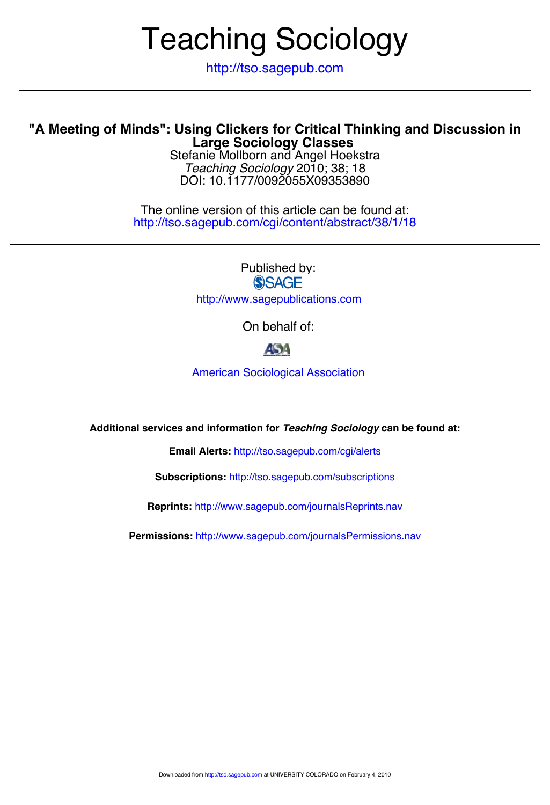# Teaching Sociology

http://tso.sagepub.com

## **Large Sociology Classes "A Meeting of Minds": Using Clickers for Critical Thinking and Discussion in**

DOI: 10.1177/0092055X09353890 *Teaching Sociology* 2010; 38; 18 Stefanie Mollborn and Angel Hoekstra

http://tso.sagepub.com/cgi/content/abstract/38/1/18 The online version of this article can be found at:

> Published by:<br>
> SAGE http://www.sagepublications.com

> > On behalf of:

# **AS4**

American Sociological Association

**Additional services and information for** *Teaching Sociology* **can be found at:**

**Email Alerts:** <http://tso.sagepub.com/cgi/alerts>

**Subscriptions:** <http://tso.sagepub.com/subscriptions>

**Reprints:** <http://www.sagepub.com/journalsReprints.nav>

**Permissions:** <http://www.sagepub.com/journalsPermissions.nav>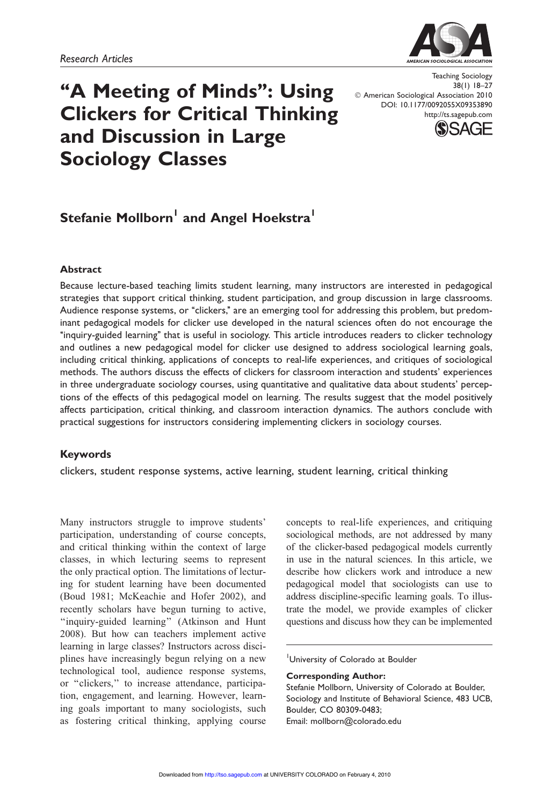

Teaching Sociology 38(1) 18–27  $©$  American Sociological Association 2010 DOI: 10.1177/0092055X09353890 http://ts.sagepub.com



# "A Meeting of Minds": Using Clickers for Critical Thinking and Discussion in Large Sociology Classes

# Stefanie Mollborn<sup>1</sup> and Angel Hoekstra<sup>1</sup>

#### **Abstract**

Because lecture-based teaching limits student learning, many instructors are interested in pedagogical strategies that support critical thinking, student participation, and group discussion in large classrooms. Audience response systems, or ''clickers,'' are an emerging tool for addressing this problem, but predominant pedagogical models for clicker use developed in the natural sciences often do not encourage the ''inquiry-guided learning'' that is useful in sociology. This article introduces readers to clicker technology and outlines a new pedagogical model for clicker use designed to address sociological learning goals, including critical thinking, applications of concepts to real-life experiences, and critiques of sociological methods. The authors discuss the effects of clickers for classroom interaction and students' experiences in three undergraduate sociology courses, using quantitative and qualitative data about students' perceptions of the effects of this pedagogical model on learning. The results suggest that the model positively affects participation, critical thinking, and classroom interaction dynamics. The authors conclude with practical suggestions for instructors considering implementing clickers in sociology courses.

#### Keywords

clickers, student response systems, active learning, student learning, critical thinking

Many instructors struggle to improve students' participation, understanding of course concepts, and critical thinking within the context of large classes, in which lecturing seems to represent the only practical option. The limitations of lecturing for student learning have been documented (Boud 1981; McKeachie and Hofer 2002), and recently scholars have begun turning to active, ''inquiry-guided learning'' (Atkinson and Hunt 2008). But how can teachers implement active learning in large classes? Instructors across disciplines have increasingly begun relying on a new technological tool, audience response systems, or ''clickers,'' to increase attendance, participation, engagement, and learning. However, learning goals important to many sociologists, such as fostering critical thinking, applying course concepts to real-life experiences, and critiquing sociological methods, are not addressed by many of the clicker-based pedagogical models currently in use in the natural sciences. In this article, we describe how clickers work and introduce a new pedagogical model that sociologists can use to address discipline-specific learning goals. To illustrate the model, we provide examples of clicker questions and discuss how they can be implemented

University of Colorado at Boulder

Corresponding Author:

Stefanie Mollborn, University of Colorado at Boulder, Sociology and Institute of Behavioral Science, 483 UCB, Boulder, CO 80309-0483; Email: mollborn@colorado.edu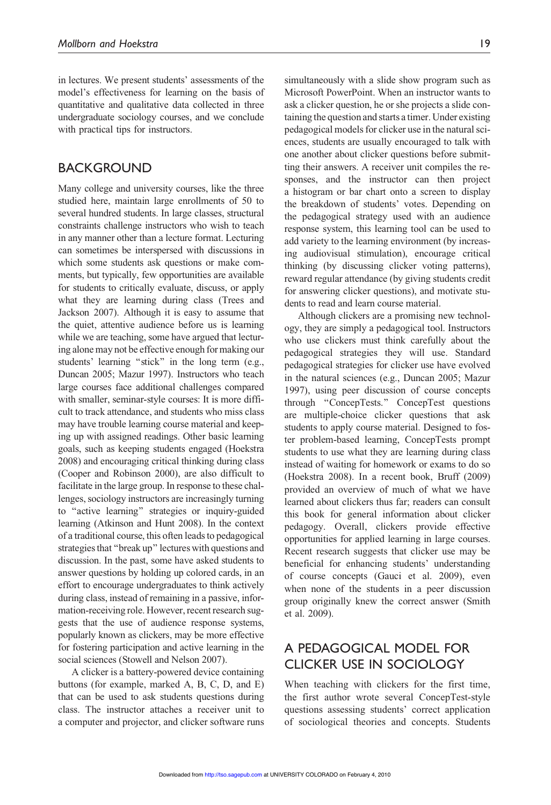in lectures. We present students' assessments of the model's effectiveness for learning on the basis of quantitative and qualitative data collected in three undergraduate sociology courses, and we conclude with practical tips for instructors.

### BACKGROUND

Many college and university courses, like the three studied here, maintain large enrollments of 50 to several hundred students. In large classes, structural constraints challenge instructors who wish to teach in any manner other than a lecture format. Lecturing can sometimes be interspersed with discussions in which some students ask questions or make comments, but typically, few opportunities are available for students to critically evaluate, discuss, or apply what they are learning during class (Trees and Jackson 2007). Although it is easy to assume that the quiet, attentive audience before us is learning while we are teaching, some have argued that lecturing alone may not be effective enough for making our students' learning ''stick'' in the long term (e.g., Duncan 2005; Mazur 1997). Instructors who teach large courses face additional challenges compared with smaller, seminar-style courses: It is more difficult to track attendance, and students who miss class may have trouble learning course material and keeping up with assigned readings. Other basic learning goals, such as keeping students engaged (Hoekstra 2008) and encouraging critical thinking during class (Cooper and Robinson 2000), are also difficult to facilitate in the large group. In response to these challenges, sociology instructors are increasingly turning to ''active learning'' strategies or inquiry-guided learning (Atkinson and Hunt 2008). In the context of a traditional course, this often leads to pedagogical strategies that ''break up'' lectures with questions and discussion. In the past, some have asked students to answer questions by holding up colored cards, in an effort to encourage undergraduates to think actively during class, instead of remaining in a passive, information-receiving role. However, recent research suggests that the use of audience response systems, popularly known as clickers, may be more effective for fostering participation and active learning in the social sciences (Stowell and Nelson 2007).

A clicker is a battery-powered device containing buttons (for example, marked A, B, C, D, and E) that can be used to ask students questions during class. The instructor attaches a receiver unit to a computer and projector, and clicker software runs simultaneously with a slide show program such as Microsoft PowerPoint. When an instructor wants to ask a clicker question, he or she projects a slide containing the question and starts a timer. Under existing pedagogical models for clicker use in the natural sciences, students are usually encouraged to talk with one another about clicker questions before submitting their answers. A receiver unit compiles the responses, and the instructor can then project a histogram or bar chart onto a screen to display the breakdown of students' votes. Depending on the pedagogical strategy used with an audience response system, this learning tool can be used to add variety to the learning environment (by increasing audiovisual stimulation), encourage critical thinking (by discussing clicker voting patterns), reward regular attendance (by giving students credit for answering clicker questions), and motivate students to read and learn course material.

Although clickers are a promising new technology, they are simply a pedagogical tool. Instructors who use clickers must think carefully about the pedagogical strategies they will use. Standard pedagogical strategies for clicker use have evolved in the natural sciences (e.g., Duncan 2005; Mazur 1997), using peer discussion of course concepts through ''ConcepTests.'' ConcepTest questions are multiple-choice clicker questions that ask students to apply course material. Designed to foster problem-based learning, ConcepTests prompt students to use what they are learning during class instead of waiting for homework or exams to do so (Hoekstra 2008). In a recent book, Bruff (2009) provided an overview of much of what we have learned about clickers thus far; readers can consult this book for general information about clicker pedagogy. Overall, clickers provide effective opportunities for applied learning in large courses. Recent research suggests that clicker use may be beneficial for enhancing students' understanding of course concepts (Gauci et al. 2009), even when none of the students in a peer discussion group originally knew the correct answer (Smith et al. 2009).

# A PEDAGOGICAL MODEL FOR CLICKER USE IN SOCIOLOGY

When teaching with clickers for the first time, the first author wrote several ConcepTest-style questions assessing students' correct application of sociological theories and concepts. Students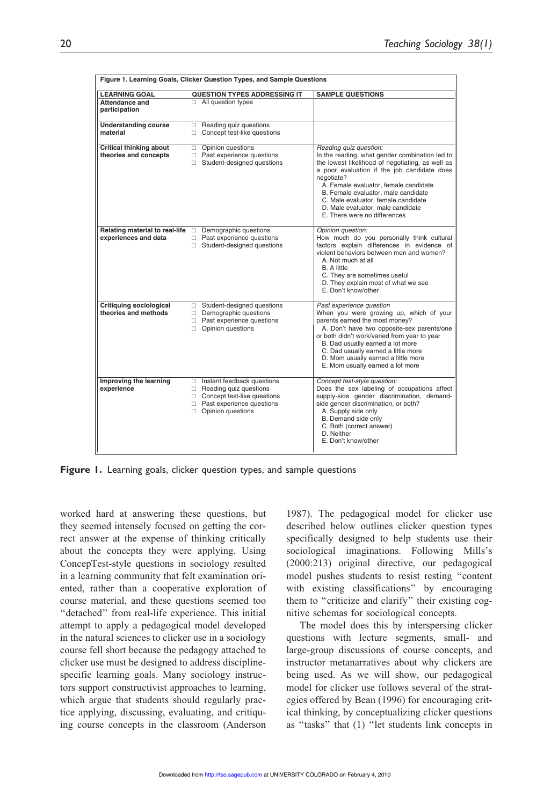| Figure 1. Learning Goals, Clicker Question Types, and Sample Questions                |                                                                                                                                                                |                                                                                                                                                                                                                                                                                                                                                                                       |
|---------------------------------------------------------------------------------------|----------------------------------------------------------------------------------------------------------------------------------------------------------------|---------------------------------------------------------------------------------------------------------------------------------------------------------------------------------------------------------------------------------------------------------------------------------------------------------------------------------------------------------------------------------------|
| <b>LEARNING GOAL</b>                                                                  | QUESTION TYPES ADDRESSING IT                                                                                                                                   | <b>SAMPLE QUESTIONS</b>                                                                                                                                                                                                                                                                                                                                                               |
| <b>Attendance and</b><br>participation                                                | $\Box$ All question types                                                                                                                                      |                                                                                                                                                                                                                                                                                                                                                                                       |
| <b>Understanding course</b><br>material                                               | Reading quiz questions<br>□<br>□ Concept test-like questions                                                                                                   |                                                                                                                                                                                                                                                                                                                                                                                       |
| <b>Critical thinking about</b><br>theories and concepts                               | □ Opinion questions<br>□ Past experience questions<br>□ Student-designed questions                                                                             | Reading quiz question:<br>In the reading, what gender combination led to<br>the lowest likelihood of negotiating, as well as<br>a poor evaluation if the job candidate does<br>negotiate?<br>A. Female evaluator, female candidate<br>B. Female evaluator, male candidate<br>C. Male evaluator, female candidate<br>D. Male evaluator, male candidate<br>E. There were no differences |
| <b>Relating material to real-life</b> □ Demographic questions<br>experiences and data | Past experience questions<br>□ Student-designed questions                                                                                                      | Opinion question:<br>How much do you personally think cultural<br>factors explain differences in evidence of<br>violent behaviors between men and women?<br>A. Not much at all<br>B. A little<br>C. They are sometimes useful<br>D. They explain most of what we see<br>E. Don't know/other                                                                                           |
| <b>Critiquing sociological</b><br>theories and methods                                | □ Student-designed questions<br>Demographic questions<br>$\Box$<br>□ Past experience questions<br><b>D</b> Opinion questions                                   | Past experience question<br>When you were growing up, which of your<br>parents earned the most money?<br>A. Don't have two opposite-sex parents/one<br>or both didn't work/varied from year to year<br>B. Dad usually earned a lot more<br>C. Dad usually earned a little more<br>D. Mom usually earned a little more<br>E. Mom usually earned a lot more                             |
| Improving the learning<br>experience                                                  | $\Box$ Instant feedback questions<br>$\Box$ Reading quiz questions<br>□ Concept test-like questions<br>$\Box$ Past experience questions<br>□ Opinion questions | Concept test-style question:<br>Does the sex labeling of occupations affect<br>supply-side gender discrimination, demand-<br>side gender discrimination, or both?<br>A. Supply side only<br>B. Demand side only<br>C. Both (correct answer)<br>D. Neither<br>E. Don't know/other                                                                                                      |

Figure 1. Learning goals, clicker question types, and sample questions

worked hard at answering these questions, but they seemed intensely focused on getting the correct answer at the expense of thinking critically about the concepts they were applying. Using ConcepTest-style questions in sociology resulted in a learning community that felt examination oriented, rather than a cooperative exploration of course material, and these questions seemed too "detached" from real-life experience. This initial attempt to apply a pedagogical model developed in the natural sciences to clicker use in a sociology course fell short because the pedagogy attached to clicker use must be designed to address disciplinespecific learning goals. Many sociology instructors support constructivist approaches to learning, which argue that students should regularly practice applying, discussing, evaluating, and critiquing course concepts in the classroom (Anderson

1987). The pedagogical model for clicker use described below outlines clicker question types specifically designed to help students use their sociological imaginations. Following Mills's (2000:213) original directive, our pedagogical model pushes students to resist resting ''content with existing classifications'' by encouraging them to ''criticize and clarify'' their existing cognitive schemas for sociological concepts.

The model does this by interspersing clicker questions with lecture segments, small- and large-group discussions of course concepts, and instructor metanarratives about why clickers are being used. As we will show, our pedagogical model for clicker use follows several of the strategies offered by Bean (1996) for encouraging critical thinking, by conceptualizing clicker questions as ''tasks'' that (1) ''let students link concepts in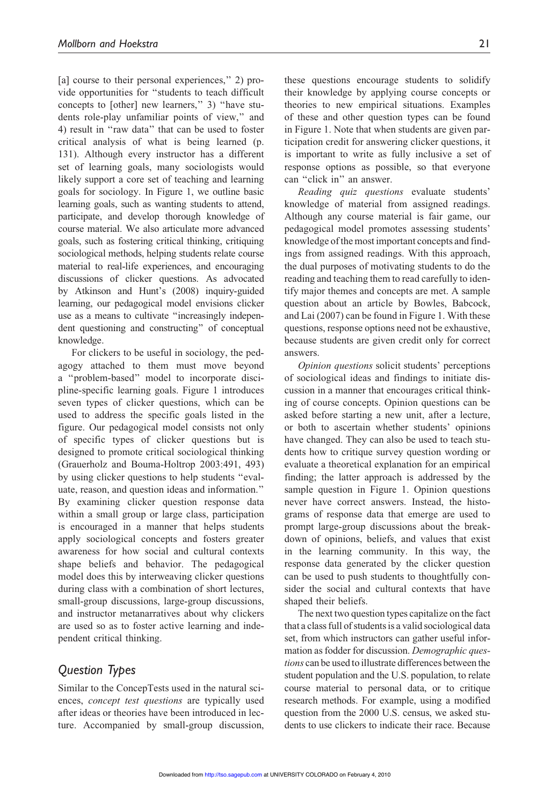[a] course to their personal experiences," 2) provide opportunities for ''students to teach difficult concepts to [other] new learners,'' 3) ''have students role-play unfamiliar points of view,'' and 4) result in ''raw data'' that can be used to foster critical analysis of what is being learned (p. 131). Although every instructor has a different set of learning goals, many sociologists would likely support a core set of teaching and learning goals for sociology. In Figure 1, we outline basic learning goals, such as wanting students to attend, participate, and develop thorough knowledge of course material. We also articulate more advanced goals, such as fostering critical thinking, critiquing sociological methods, helping students relate course material to real-life experiences, and encouraging discussions of clicker questions. As advocated by Atkinson and Hunt's (2008) inquiry-guided learning, our pedagogical model envisions clicker use as a means to cultivate ''increasingly independent questioning and constructing'' of conceptual knowledge.

For clickers to be useful in sociology, the pedagogy attached to them must move beyond a ''problem-based'' model to incorporate discipline-specific learning goals. Figure 1 introduces seven types of clicker questions, which can be used to address the specific goals listed in the figure. Our pedagogical model consists not only of specific types of clicker questions but is designed to promote critical sociological thinking (Grauerholz and Bouma-Holtrop 2003:491, 493) by using clicker questions to help students ''evaluate, reason, and question ideas and information.'' By examining clicker question response data within a small group or large class, participation is encouraged in a manner that helps students apply sociological concepts and fosters greater awareness for how social and cultural contexts shape beliefs and behavior. The pedagogical model does this by interweaving clicker questions during class with a combination of short lectures, small-group discussions, large-group discussions, and instructor metanarratives about why clickers are used so as to foster active learning and independent critical thinking.

#### Question Types

Similar to the ConcepTests used in the natural sciences, *concept test questions* are typically used after ideas or theories have been introduced in lecture. Accompanied by small-group discussion,

these questions encourage students to solidify their knowledge by applying course concepts or theories to new empirical situations. Examples of these and other question types can be found in Figure 1. Note that when students are given participation credit for answering clicker questions, it is important to write as fully inclusive a set of response options as possible, so that everyone can "click in" an answer.

Reading quiz questions evaluate students' knowledge of material from assigned readings. Although any course material is fair game, our pedagogical model promotes assessing students' knowledge of the most important concepts and findings from assigned readings. With this approach, the dual purposes of motivating students to do the reading and teaching them to read carefully to identify major themes and concepts are met. A sample question about an article by Bowles, Babcock, and Lai (2007) can be found in Figure 1. With these questions, response options need not be exhaustive, because students are given credit only for correct answers.

Opinion questions solicit students' perceptions of sociological ideas and findings to initiate discussion in a manner that encourages critical thinking of course concepts. Opinion questions can be asked before starting a new unit, after a lecture, or both to ascertain whether students' opinions have changed. They can also be used to teach students how to critique survey question wording or evaluate a theoretical explanation for an empirical finding; the latter approach is addressed by the sample question in Figure 1. Opinion questions never have correct answers. Instead, the histograms of response data that emerge are used to prompt large-group discussions about the breakdown of opinions, beliefs, and values that exist in the learning community. In this way, the response data generated by the clicker question can be used to push students to thoughtfully consider the social and cultural contexts that have shaped their beliefs.

The next two question types capitalize on the fact that a class full of students is a valid sociological data set, from which instructors can gather useful information as fodder for discussion. Demographic questions can be used to illustrate differences between the student population and the U.S. population, to relate course material to personal data, or to critique research methods. For example, using a modified question from the 2000 U.S. census, we asked students to use clickers to indicate their race. Because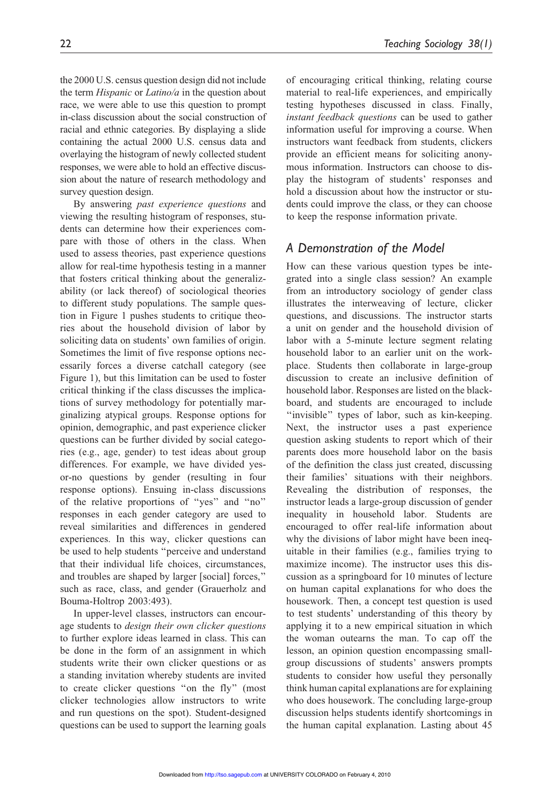the 2000 U.S. census question design did not include the term *Hispanic* or *Latino/a* in the question about race, we were able to use this question to prompt in-class discussion about the social construction of racial and ethnic categories. By displaying a slide containing the actual 2000 U.S. census data and overlaying the histogram of newly collected student responses, we were able to hold an effective discussion about the nature of research methodology and survey question design.

By answering past experience questions and viewing the resulting histogram of responses, students can determine how their experiences compare with those of others in the class. When used to assess theories, past experience questions allow for real-time hypothesis testing in a manner that fosters critical thinking about the generalizability (or lack thereof) of sociological theories to different study populations. The sample question in Figure 1 pushes students to critique theories about the household division of labor by soliciting data on students' own families of origin. Sometimes the limit of five response options necessarily forces a diverse catchall category (see Figure 1), but this limitation can be used to foster critical thinking if the class discusses the implications of survey methodology for potentially marginalizing atypical groups. Response options for opinion, demographic, and past experience clicker questions can be further divided by social categories (e.g., age, gender) to test ideas about group differences. For example, we have divided yesor-no questions by gender (resulting in four response options). Ensuing in-class discussions of the relative proportions of ''yes'' and ''no'' responses in each gender category are used to reveal similarities and differences in gendered experiences. In this way, clicker questions can be used to help students ''perceive and understand that their individual life choices, circumstances, and troubles are shaped by larger [social] forces,'' such as race, class, and gender (Grauerholz and Bouma-Holtrop 2003:493).

In upper-level classes, instructors can encourage students to design their own clicker questions to further explore ideas learned in class. This can be done in the form of an assignment in which students write their own clicker questions or as a standing invitation whereby students are invited to create clicker questions ''on the fly'' (most clicker technologies allow instructors to write and run questions on the spot). Student-designed questions can be used to support the learning goals of encouraging critical thinking, relating course material to real-life experiences, and empirically testing hypotheses discussed in class. Finally, instant feedback questions can be used to gather information useful for improving a course. When instructors want feedback from students, clickers provide an efficient means for soliciting anonymous information. Instructors can choose to display the histogram of students' responses and hold a discussion about how the instructor or students could improve the class, or they can choose to keep the response information private.

# A Demonstration of the Model

How can these various question types be integrated into a single class session? An example from an introductory sociology of gender class illustrates the interweaving of lecture, clicker questions, and discussions. The instructor starts a unit on gender and the household division of labor with a 5-minute lecture segment relating household labor to an earlier unit on the workplace. Students then collaborate in large-group discussion to create an inclusive definition of household labor. Responses are listed on the blackboard, and students are encouraged to include "invisible" types of labor, such as kin-keeping. Next, the instructor uses a past experience question asking students to report which of their parents does more household labor on the basis of the definition the class just created, discussing their families' situations with their neighbors. Revealing the distribution of responses, the instructor leads a large-group discussion of gender inequality in household labor. Students are encouraged to offer real-life information about why the divisions of labor might have been inequitable in their families (e.g., families trying to maximize income). The instructor uses this discussion as a springboard for 10 minutes of lecture on human capital explanations for who does the housework. Then, a concept test question is used to test students' understanding of this theory by applying it to a new empirical situation in which the woman outearns the man. To cap off the lesson, an opinion question encompassing smallgroup discussions of students' answers prompts students to consider how useful they personally think human capital explanations are for explaining who does housework. The concluding large-group discussion helps students identify shortcomings in the human capital explanation. Lasting about 45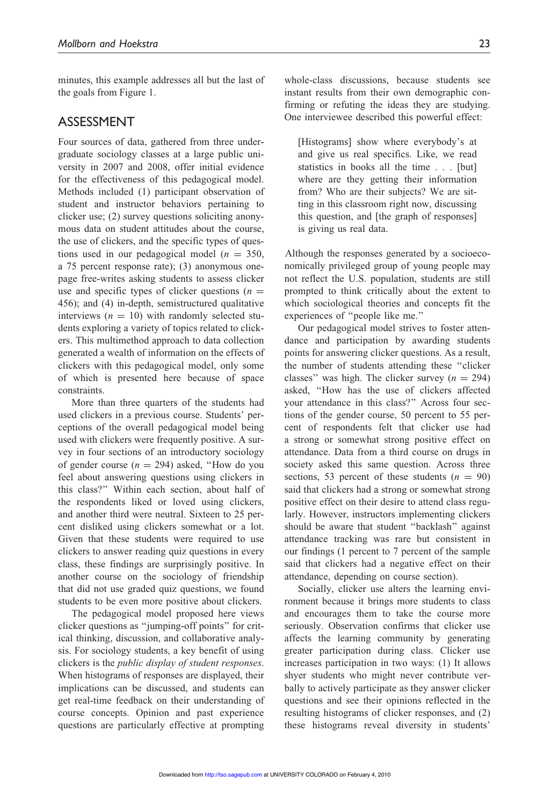minutes, this example addresses all but the last of the goals from Figure 1.

#### ASSESSMENT

Four sources of data, gathered from three undergraduate sociology classes at a large public university in 2007 and 2008, offer initial evidence for the effectiveness of this pedagogical model. Methods included (1) participant observation of student and instructor behaviors pertaining to clicker use; (2) survey questions soliciting anonymous data on student attitudes about the course, the use of clickers, and the specific types of questions used in our pedagogical model ( $n = 350$ , a 75 percent response rate); (3) anonymous onepage free-writes asking students to assess clicker use and specific types of clicker questions  $(n =$ 456); and (4) in-depth, semistructured qualitative interviews  $(n = 10)$  with randomly selected students exploring a variety of topics related to clickers. This multimethod approach to data collection generated a wealth of information on the effects of clickers with this pedagogical model, only some of which is presented here because of space constraints.

More than three quarters of the students had used clickers in a previous course. Students' perceptions of the overall pedagogical model being used with clickers were frequently positive. A survey in four sections of an introductory sociology of gender course  $(n = 294)$  asked, "How do you feel about answering questions using clickers in this class?'' Within each section, about half of the respondents liked or loved using clickers, and another third were neutral. Sixteen to 25 percent disliked using clickers somewhat or a lot. Given that these students were required to use clickers to answer reading quiz questions in every class, these findings are surprisingly positive. In another course on the sociology of friendship that did not use graded quiz questions, we found students to be even more positive about clickers.

The pedagogical model proposed here views clicker questions as ''jumping-off points'' for critical thinking, discussion, and collaborative analysis. For sociology students, a key benefit of using clickers is the public display of student responses. When histograms of responses are displayed, their implications can be discussed, and students can get real-time feedback on their understanding of course concepts. Opinion and past experience questions are particularly effective at prompting whole-class discussions, because students see instant results from their own demographic confirming or refuting the ideas they are studying. One interviewee described this powerful effect:

[Histograms] show where everybody's at and give us real specifics. Like, we read statistics in books all the time . . . [but] where are they getting their information from? Who are their subjects? We are sitting in this classroom right now, discussing this question, and [the graph of responses] is giving us real data.

Although the responses generated by a socioeconomically privileged group of young people may not reflect the U.S. population, students are still prompted to think critically about the extent to which sociological theories and concepts fit the experiences of ''people like me.''

Our pedagogical model strives to foster attendance and participation by awarding students points for answering clicker questions. As a result, the number of students attending these ''clicker classes" was high. The clicker survey  $(n = 294)$ asked, ''How has the use of clickers affected your attendance in this class?'' Across four sections of the gender course, 50 percent to 55 percent of respondents felt that clicker use had a strong or somewhat strong positive effect on attendance. Data from a third course on drugs in society asked this same question. Across three sections, 53 percent of these students  $(n = 90)$ said that clickers had a strong or somewhat strong positive effect on their desire to attend class regularly. However, instructors implementing clickers should be aware that student ''backlash'' against attendance tracking was rare but consistent in our findings (1 percent to 7 percent of the sample said that clickers had a negative effect on their attendance, depending on course section).

Socially, clicker use alters the learning environment because it brings more students to class and encourages them to take the course more seriously. Observation confirms that clicker use affects the learning community by generating greater participation during class. Clicker use increases participation in two ways: (1) It allows shyer students who might never contribute verbally to actively participate as they answer clicker questions and see their opinions reflected in the resulting histograms of clicker responses, and (2) these histograms reveal diversity in students'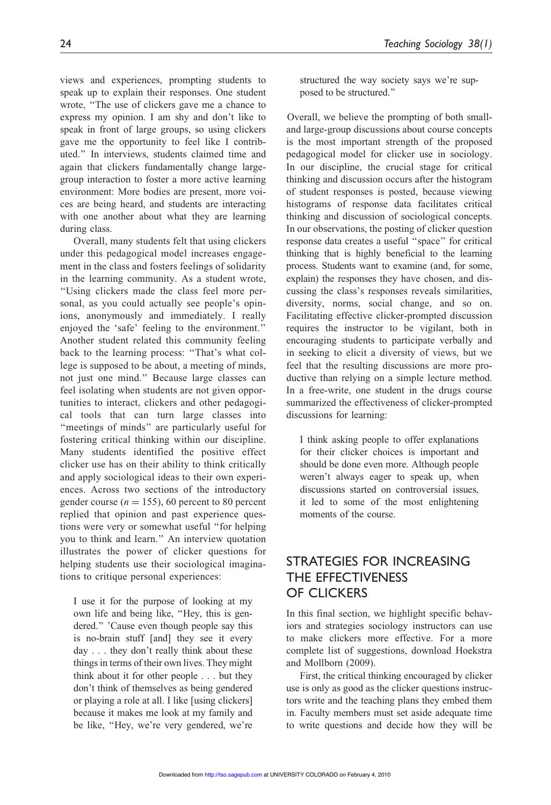posed to be structured.''

views and experiences, prompting students to speak up to explain their responses. One student wrote, ''The use of clickers gave me a chance to express my opinion. I am shy and don't like to speak in front of large groups, so using clickers gave me the opportunity to feel like I contributed.'' In interviews, students claimed time and again that clickers fundamentally change largegroup interaction to foster a more active learning environment: More bodies are present, more voices are being heard, and students are interacting with one another about what they are learning during class.

Overall, many students felt that using clickers under this pedagogical model increases engagement in the class and fosters feelings of solidarity in the learning community. As a student wrote, ''Using clickers made the class feel more personal, as you could actually see people's opinions, anonymously and immediately. I really enjoyed the 'safe' feeling to the environment.'' Another student related this community feeling back to the learning process: ''That's what college is supposed to be about, a meeting of minds, not just one mind.'' Because large classes can feel isolating when students are not given opportunities to interact, clickers and other pedagogical tools that can turn large classes into ''meetings of minds'' are particularly useful for fostering critical thinking within our discipline. Many students identified the positive effect clicker use has on their ability to think critically and apply sociological ideas to their own experiences. Across two sections of the introductory gender course ( $n = 155$ ), 60 percent to 80 percent replied that opinion and past experience questions were very or somewhat useful ''for helping you to think and learn.'' An interview quotation illustrates the power of clicker questions for helping students use their sociological imaginations to critique personal experiences:

I use it for the purpose of looking at my own life and being like, ''Hey, this is gendered.'' 'Cause even though people say this is no-brain stuff [and] they see it every day . . . they don't really think about these things in terms of their own lives. They might think about it for other people . . . but they don't think of themselves as being gendered or playing a role at all. I like [using clickers] because it makes me look at my family and be like, ''Hey, we're very gendered, we're

Overall, we believe the prompting of both smalland large-group discussions about course concepts is the most important strength of the proposed pedagogical model for clicker use in sociology. In our discipline, the crucial stage for critical thinking and discussion occurs after the histogram of student responses is posted, because viewing histograms of response data facilitates critical thinking and discussion of sociological concepts. In our observations, the posting of clicker question response data creates a useful ''space'' for critical thinking that is highly beneficial to the learning process. Students want to examine (and, for some, explain) the responses they have chosen, and discussing the class's responses reveals similarities, diversity, norms, social change, and so on. Facilitating effective clicker-prompted discussion requires the instructor to be vigilant, both in encouraging students to participate verbally and in seeking to elicit a diversity of views, but we feel that the resulting discussions are more productive than relying on a simple lecture method. In a free-write, one student in the drugs course summarized the effectiveness of clicker-prompted discussions for learning:

I think asking people to offer explanations for their clicker choices is important and should be done even more. Although people weren't always eager to speak up, when discussions started on controversial issues, it led to some of the most enlightening moments of the course.

# STRATEGIES FOR INCREASING THE EFFECTIVENESS OF CLICKERS

In this final section, we highlight specific behaviors and strategies sociology instructors can use to make clickers more effective. For a more complete list of suggestions, download Hoekstra and Mollborn (2009).

First, the critical thinking encouraged by clicker use is only as good as the clicker questions instructors write and the teaching plans they embed them in. Faculty members must set aside adequate time to write questions and decide how they will be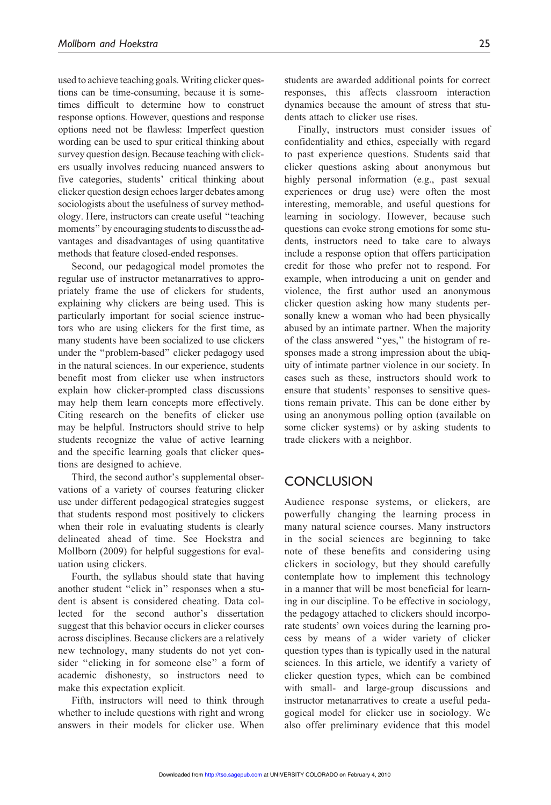used to achieve teaching goals. Writing clicker questions can be time-consuming, because it is sometimes difficult to determine how to construct response options. However, questions and response options need not be flawless: Imperfect question wording can be used to spur critical thinking about survey question design. Because teaching with clickers usually involves reducing nuanced answers to five categories, students' critical thinking about clicker question design echoes larger debates among sociologists about the usefulness of survey methodology. Here, instructors can create useful ''teaching moments" by encouraging students to discuss the advantages and disadvantages of using quantitative methods that feature closed-ended responses.

Second, our pedagogical model promotes the regular use of instructor metanarratives to appropriately frame the use of clickers for students, explaining why clickers are being used. This is particularly important for social science instructors who are using clickers for the first time, as many students have been socialized to use clickers under the ''problem-based'' clicker pedagogy used in the natural sciences. In our experience, students benefit most from clicker use when instructors explain how clicker-prompted class discussions may help them learn concepts more effectively. Citing research on the benefits of clicker use may be helpful. Instructors should strive to help students recognize the value of active learning and the specific learning goals that clicker questions are designed to achieve.

Third, the second author's supplemental observations of a variety of courses featuring clicker use under different pedagogical strategies suggest that students respond most positively to clickers when their role in evaluating students is clearly delineated ahead of time. See Hoekstra and Mollborn (2009) for helpful suggestions for evaluation using clickers.

Fourth, the syllabus should state that having another student ''click in'' responses when a student is absent is considered cheating. Data collected for the second author's dissertation suggest that this behavior occurs in clicker courses across disciplines. Because clickers are a relatively new technology, many students do not yet consider ''clicking in for someone else'' a form of academic dishonesty, so instructors need to make this expectation explicit.

Fifth, instructors will need to think through whether to include questions with right and wrong answers in their models for clicker use. When

students are awarded additional points for correct responses, this affects classroom interaction dynamics because the amount of stress that students attach to clicker use rises.

Finally, instructors must consider issues of confidentiality and ethics, especially with regard to past experience questions. Students said that clicker questions asking about anonymous but highly personal information (e.g., past sexual experiences or drug use) were often the most interesting, memorable, and useful questions for learning in sociology. However, because such questions can evoke strong emotions for some students, instructors need to take care to always include a response option that offers participation credit for those who prefer not to respond. For example, when introducing a unit on gender and violence, the first author used an anonymous clicker question asking how many students personally knew a woman who had been physically abused by an intimate partner. When the majority of the class answered ''yes,'' the histogram of responses made a strong impression about the ubiquity of intimate partner violence in our society. In cases such as these, instructors should work to ensure that students' responses to sensitive questions remain private. This can be done either by using an anonymous polling option (available on some clicker systems) or by asking students to trade clickers with a neighbor.

#### **CONCLUSION**

Audience response systems, or clickers, are powerfully changing the learning process in many natural science courses. Many instructors in the social sciences are beginning to take note of these benefits and considering using clickers in sociology, but they should carefully contemplate how to implement this technology in a manner that will be most beneficial for learning in our discipline. To be effective in sociology, the pedagogy attached to clickers should incorporate students' own voices during the learning process by means of a wider variety of clicker question types than is typically used in the natural sciences. In this article, we identify a variety of clicker question types, which can be combined with small- and large-group discussions and instructor metanarratives to create a useful pedagogical model for clicker use in sociology. We also offer preliminary evidence that this model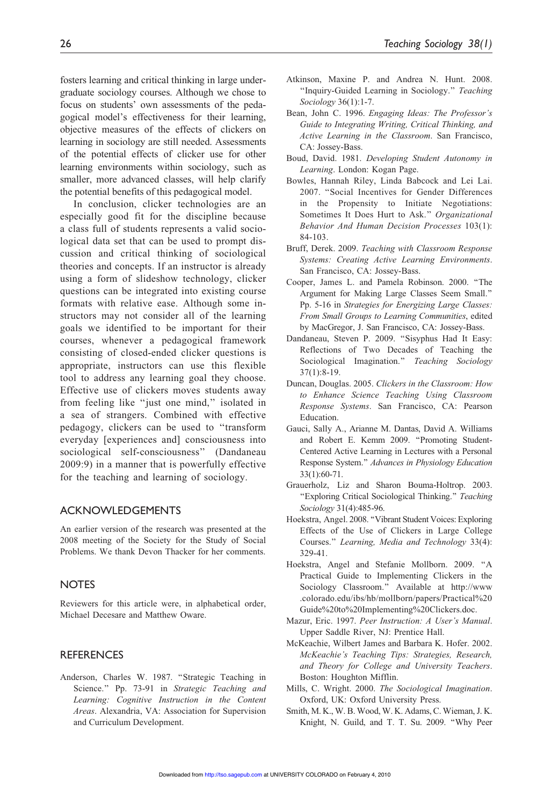fosters learning and critical thinking in large undergraduate sociology courses. Although we chose to focus on students' own assessments of the pedagogical model's effectiveness for their learning, objective measures of the effects of clickers on learning in sociology are still needed. Assessments of the potential effects of clicker use for other learning environments within sociology, such as smaller, more advanced classes, will help clarify the potential benefits of this pedagogical model.

In conclusion, clicker technologies are an especially good fit for the discipline because a class full of students represents a valid sociological data set that can be used to prompt discussion and critical thinking of sociological theories and concepts. If an instructor is already using a form of slideshow technology, clicker questions can be integrated into existing course formats with relative ease. Although some instructors may not consider all of the learning goals we identified to be important for their courses, whenever a pedagogical framework consisting of closed-ended clicker questions is appropriate, instructors can use this flexible tool to address any learning goal they choose. Effective use of clickers moves students away from feeling like "just one mind," isolated in a sea of strangers. Combined with effective pedagogy, clickers can be used to ''transform everyday [experiences and] consciousness into sociological self-consciousness'' (Dandaneau 2009:9) in a manner that is powerfully effective for the teaching and learning of sociology.

#### ACKNOWLEDGEMENTS

An earlier version of the research was presented at the 2008 meeting of the Society for the Study of Social Problems. We thank Devon Thacker for her comments.

#### **NOTES**

Reviewers for this article were, in alphabetical order, Michael Decesare and Matthew Oware.

#### **REFERENCES**

Anderson, Charles W. 1987. ''Strategic Teaching in Science." Pp. 73-91 in Strategic Teaching and Learning: Cognitive Instruction in the Content Areas. Alexandria, VA: Association for Supervision and Curriculum Development.

- Atkinson, Maxine P. and Andrea N. Hunt. 2008. ''Inquiry-Guided Learning in Sociology.'' Teaching Sociology 36(1):1-7.
- Bean, John C. 1996. Engaging Ideas: The Professor's Guide to Integrating Writing, Critical Thinking, and Active Learning in the Classroom. San Francisco, CA: Jossey-Bass.
- Boud, David. 1981. Developing Student Autonomy in Learning. London: Kogan Page.
- Bowles, Hannah Riley, Linda Babcock and Lei Lai. 2007. ''Social Incentives for Gender Differences in the Propensity to Initiate Negotiations: Sometimes It Does Hurt to Ask.'' Organizational Behavior And Human Decision Processes 103(1): 84-103.
- Bruff, Derek. 2009. Teaching with Classroom Response Systems: Creating Active Learning Environments. San Francisco, CA: Jossey-Bass.
- Cooper, James L. and Pamela Robinson. 2000. ''The Argument for Making Large Classes Seem Small.'' Pp. 5-16 in Strategies for Energizing Large Classes: From Small Groups to Learning Communities, edited by MacGregor, J. San Francisco, CA: Jossey-Bass.
- Dandaneau, Steven P. 2009. ''Sisyphus Had It Easy: Reflections of Two Decades of Teaching the Sociological Imagination.'' Teaching Sociology 37(1):8-19.
- Duncan, Douglas. 2005. Clickers in the Classroom: How to Enhance Science Teaching Using Classroom Response Systems. San Francisco, CA: Pearson Education.
- Gauci, Sally A., Arianne M. Dantas, David A. Williams and Robert E. Kemm 2009. ''Promoting Student-Centered Active Learning in Lectures with a Personal Response System.'' Advances in Physiology Education 33(1):60-71.
- Grauerholz, Liz and Sharon Bouma-Holtrop. 2003. ''Exploring Critical Sociological Thinking.'' Teaching Sociology 31(4):485-96.
- Hoekstra, Angel. 2008. ''Vibrant Student Voices: Exploring Effects of the Use of Clickers in Large College Courses.'' Learning, Media and Technology 33(4): 329-41.
- Hoekstra, Angel and Stefanie Mollborn. 2009. ''A Practical Guide to Implementing Clickers in the Sociology Classroom.'' Available at http://www .colorado.edu/ibs/hb/mollborn/papers/Practical%20 Guide%20to%20Implementing%20Clickers.doc.
- Mazur, Eric. 1997. Peer Instruction: A User's Manual. Upper Saddle River, NJ: Prentice Hall.
- McKeachie, Wilbert James and Barbara K. Hofer. 2002. McKeachie's Teaching Tips: Strategies, Research, and Theory for College and University Teachers. Boston: Houghton Mifflin.
- Mills, C. Wright. 2000. The Sociological Imagination. Oxford, UK: Oxford University Press.
- Smith, M. K., W. B. Wood, W. K. Adams, C. Wieman, J. K. Knight, N. Guild, and T. T. Su. 2009. ''Why Peer